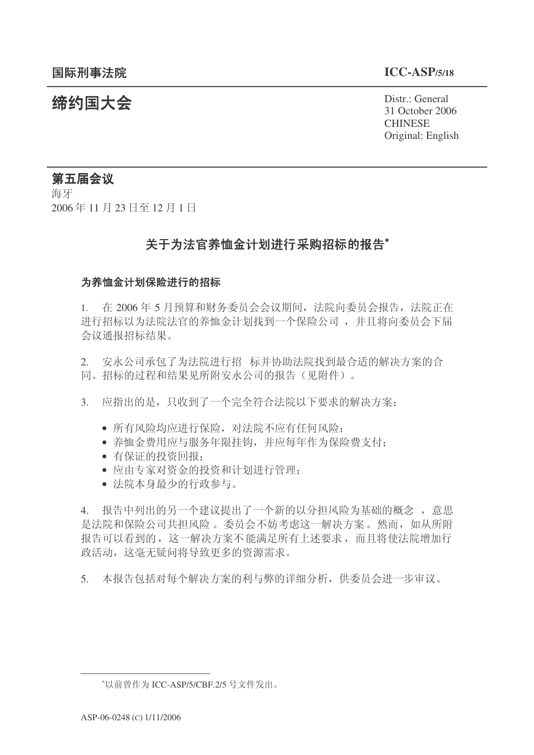**缔约国大会**<br>◆ Distr.: General

31 October 2006 **CHINESE** Original: English

# 第五届会议

海牙 2006年11月23日至12月1日

# 关于为法官养恤金计划进行采购招标的报告\*

#### 为养恤金计划保险进行的招标

1. 在 2006年5月预算和财务委员会会议期间, 法院向委员会报告, 法院正在 进行招标以为法院法官的养恤金计划找到一个保险公司, 并且将向委员会下届 会议通报拓标结果。

2. 安永公司承包了为法院进行招 标并协助法院找到最合适的解决方案的合 同。招标的过程和结果见所附安永公司的报告(见附件)。

3. 应指出的是,只收到了一个完全符合法院以下要求的解决方案:

- 所有风险均应进行保险, 对法院不应有任何风险;
- 养恤金费用应与服务年限挂钩, 并应每年作为保险费支付;
- 有保证的投资回报:
- 应由专家对资金的投资和计划进行管理:
- 法院本身最少的行政参与。

4. 报告中列出的另一个建议提出了一个新的以分担风险为基础的概念, 意思 是法院和保险公司共担风险。委员会不妨考虑这一解决方案。然而,如从所附 报告可以看到的, 这一解决方案不能满足所有上述要求, 而且将使法院增加行 政活动, 这毫无疑问将导致更多的资源需求。

5. 本报告包括对每个解决方案的利与弊的详细分析, 供委员会讲一步审议。

<sup>\*</sup>以前曾作为 ICC-ASP/5/CBF.2/5 号文件发出。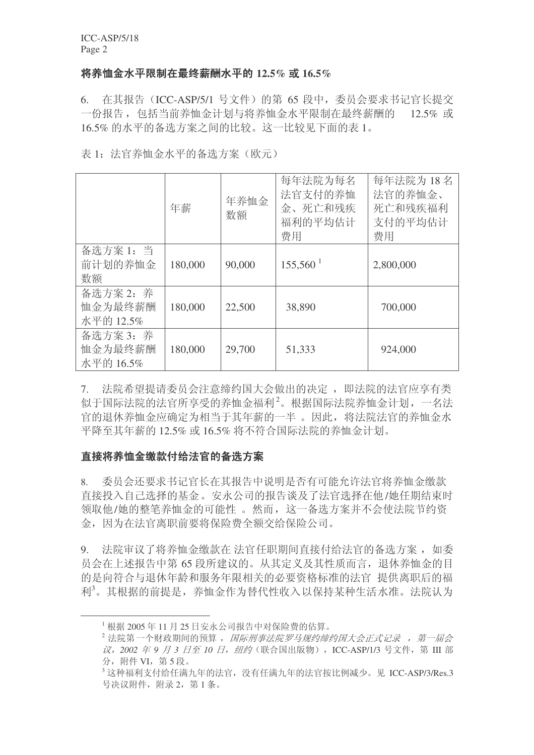#### ᇚݏᘸ䞥∈ᑇ䰤ࠊ᳔㒜㭾䝀∈ᑇⱘ **12.5% 16.5%**

6. 在其报告 (ICC-ASP/5/1 号文件) 的第 65 段中, 委员会要求书记官长提交 一份报告, 包括当前养恤金计划与将养恤金水平限制在最终薪酬的 12.5% 或 16.5% 的水平的备选方案之间的比较。这一比较见下面的表 1。

|                                   | 年薪      | 年养恤金<br>数额 | 每年法院为每名<br>法官支付的养恤<br>金、死亡和残疾<br>福利的平均估计<br>费用 | 每年法院为18名<br>法官的养恤金、<br>死亡和残疾福利<br>支付的平均估计<br>费用 |
|-----------------------------------|---------|------------|------------------------------------------------|-------------------------------------------------|
| 备选方案 1: 当<br>前计划的养恤金<br>数额        | 180,000 | 90,000     | $155,560^{\text{1}}$                           | 2,800,000                                       |
| 备选方案 2: 养<br>恤金为最终薪酬<br>水平的 12.5% | 180,000 | 22,500     | 38,890                                         | 700,000                                         |
| 备选方案 3: 养<br>恤金为最终薪酬<br>水平的 16.5% | 180,000 | 29,700     | 51,333                                         | 924,000                                         |

7. 法院希望提请委员会注意缔约国大会做出的决定,即决院的法官应享有类 似于国际法院的法官所享受的养恤金福利2。根据国际法院养恤金计划,一名法 官的退休养恤金应确定为相当于其年薪的一半。因此, 将法院法官的养恤金水 平降至其年薪的 12.5% 或 16.5% 将不符合国际法院的养恤金计划。

### 直接将养恤金缴款付给法官的备选方案

8. 委员会还要求书记官长在其报告中说明是否有可能允许法官将养恤金缴款 直接投入自己选择的基金。安永公司的报告谈及了法官选择在他/她任期结束时 领取他/她的整笔养恤金的可能性。然而, 这一备选方案并不会使法院节约资 金, 因为在法官离职前要将保险费全额交给保险公司。

9. 法院审议了将养恤金缴款在 法官任职期间直接付给法官的备选方案, 如委 员会在上述报告中第65 段所建议的。从其定义及其性质而言, 退休养恤金的目 的是向符合与退休年龄和服务年限相关的必要资格标准的法官 提供离职后的福 利3。其根据的前提是,养恤金作为替代性收入以保持某种生活水准。法院认为

 $^{-1}$  根据 2005年11月25日安永公司报告中对保险费的估算。

<sup>2</sup> 法院第一个财政期间的预算, 国际刑事法院罗马规约缔约国大会正式记录, 第一届会  $\ddot{x}$ , 2002 年 9 月 3 日至 10 日, 纽约 (联合国出版物), ICC-ASP/1/3 号文件, 第 III 部 分, 附件 VI, 第5段。

 $^3$  这种福利支付给任满九年的法官, 没有任满九年的法官按比例减少。见 ICC-ASP/3/Res.3 号决议附件, 附录 2, 第1条。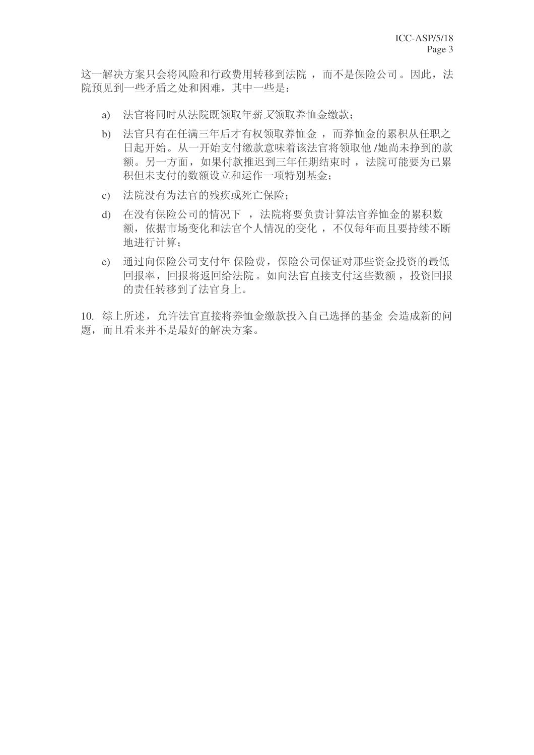这一解决方案只会将风险和行政费用转移到法院,而不是保险公司。因此, 法 院预见到一些矛盾之处和困难, 其中一些是:

- a) 法官将同时从法院既领取年薪又领取养恤金缴款:
- b) 法官只有在任满三年后才有权领取养恤金, 而养恤金的累积从任职之 日起开始。从一开始支付缴款意味着该法官将领取他/她尚未挣到的款 额。另一方面, 如果付款推迟到三年任期结束时, 法院可能要为已累 积但未支付的数额设立和运作一项特别基金:
- c) 法院没有为法官的残疾或死亡保险;
- d) 在没有保险公司的情况下, 法院将要负责计算法官养恤金的累积数 额, 依据市场变化和法官个人情况的变化, 不仅每年而且要持续不断 地进行计算;
- e) 通过向保险公司支付年保险费, 保险公司保证对那些资金投资的最低 回报率,回报将返回给法院。如向法官直接支付这些数额,投资回报 的责任转移到了法官身上。
- 10. 综上所述, 允许法官直接将养恤金缴款投入自己选择的基金 会造成新的问 题, 而日看来并不是最好的解决方案。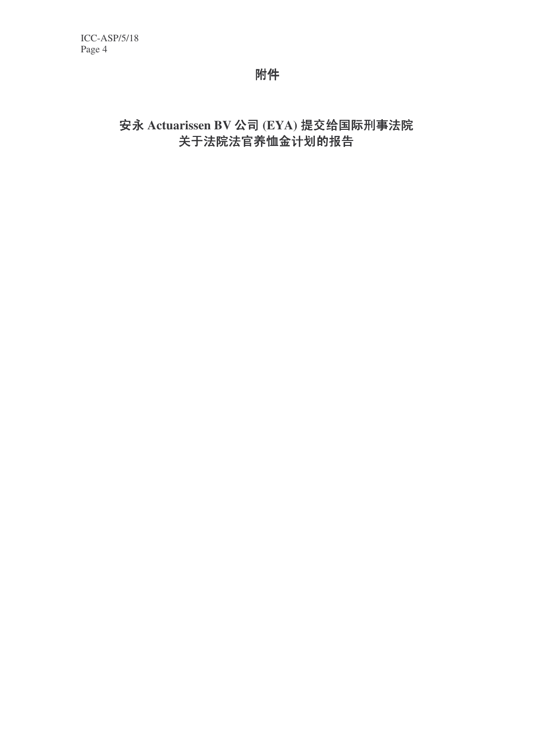附件

安永 Actuarissen BV 公司 (EYA) 提交给国际刑事法院 关于法院法官养恤金计划的报告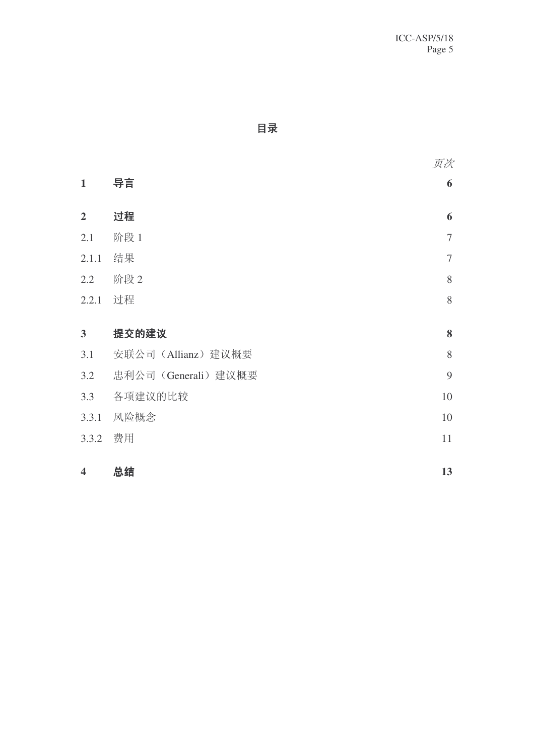# **目录**

页次 1 导言 6 2 过程 6  $2.1$  阶段 1 7  $2.1.1$  结果  $7$ 2.2 阶段 2 8  $2.2.1$  过程 8 3 提交的建议 8 3.1 安联公司 (Allianz) 建议概要 8 3.2 忠利公司 (Generali) 建议概要 9 3.3 乍ᓎ䆂ⱘ↨䕗 10  $3.3.1$  风险概念 10 3.3.2 费用 11 **4** 总结 13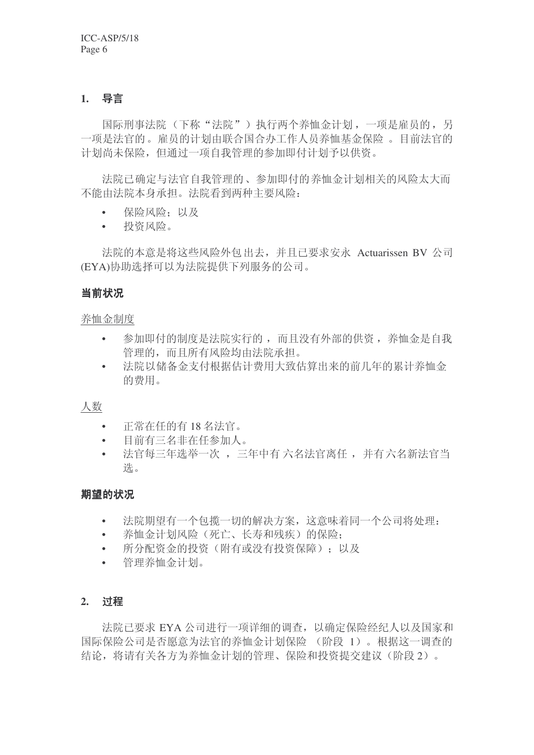### 1. 导言

国际刑事法院(下称"法院")执行两个养恤金计划,一项是雇员的,另 一项是法官的。雇员的计划由联合国合办工作人员养恤基金保险。目前法官的 计划尚未保险, 但通过一项自我管理的参加即付计划予以供资。

法院已确定与法官自我管理的、参加即付的养恤金计划相关的风险太大而 不能由法院本身承担。法院看到两种主要风险:

- 保险风险: 以及
- 投资风险。

法院的本意是将这些风险外包出去, 并且已要求安永 Actuarissen BV 公司 (EYA)协助选择可以为法院提供下列服务的公司。

#### 当前状况

#### 养恤金制度

- 参加即付的制度是法院实行的,而且没有外部的供资,养恤金是自我 管理的,而且所有风险均由法院承担。
- 法院以储备金支付根据估计费用大致估算出来的前几年的累计养恤金 的费用。

#### 人数

- 正常在任的有18名法官。
- 目前有三名非在任参加人。
- 法官每三年选举一次, 三年中有六名法官离任, 并有六名新法官当 选。

#### 期望的状况

- 法院期望有一个包揽一切的解决方案,这意味着同一个公司将处理:
- 养恤金计划风险(死亡、长寿和残疾)的保险;
- 所分配资金的投资(附有或没有投资保障): 以及
- 管理养恤金计划。

#### **2.** 䖛

法院已要求 EYA 公司进行一项详细的调查, 以确定保险经纪人以及国家和 国际保险公司是否愿意为法官的养恤金计划保险 (阶段 1)。根据这一调查的 结论, 将请有关各方为养恤金计划的管理、保险和投资提交建议(阶段2)。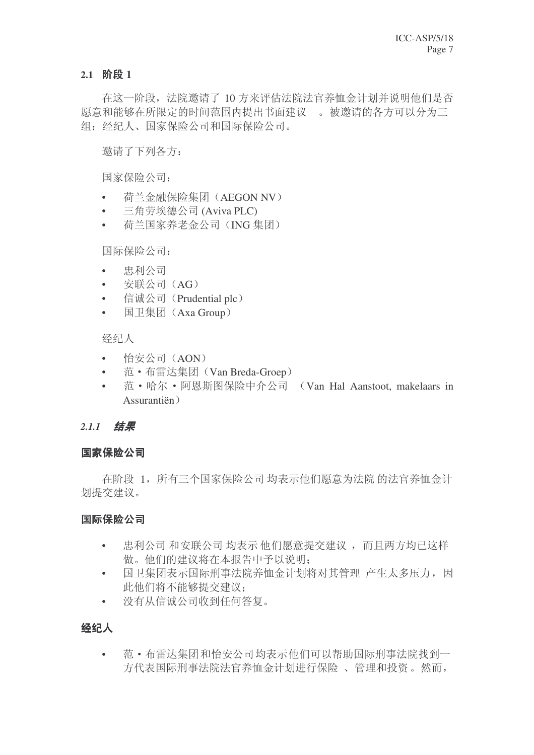### **2.1** 䰊↉ **1**

在这一阶段, 法院邀请了10 方来评估法院法官养恤金计划并说明他们是否 愿意和能够在所限定的时间范围内提出书面建议。被邀请的各方可以分为三 组: 经纪人、国家保险公司和国际保险公司。

邀请了下列各方:

国家保险公司:

- 荷兰金融保险集团 (AEGON NV)
- 三角劳埃德公司 (Aviva PLC)
- 荷兰国家养老金公司(ING 集团)

国际保险公司:

- 忠利公司
- 安联公司(AG)
- 信诚公司 (Prudential plc)
- 国卫集团 (Axa Group)

经纪人

- 怡安公司 $(AON)$
- 范·布雷达集团(Van Breda-Groep)
- 范·哈尔·阿恩斯图保险中介公司 (Van Hal Aanstoot, makelaars in Assurantiën˅

# 2.1.1 结果

# 国家保险公司

在阶段 1, 所有三个国家保险公司 均表示他们愿意为法院 的法官养恤金计 划提交建议。

# 国际保险公司

- 忠利公司和安联公司 均表示 他们愿意提交建议,而且两方均已这样 做。他们的建议将在本报告中予以说明:
- 国卫集团表示国际刑事法院养恤金计划将对其管理 产生太多压力, 因 此他们将不能够提交建议:
- 没有从信诚公司收到仟何答复。

# 经纪人

• 范·布雷达集团和怡安公司均表示他们可以帮助国际刑事法院找到一 方代表国际刑事法院法官养恤金计划进行保险、管理和投资。然而,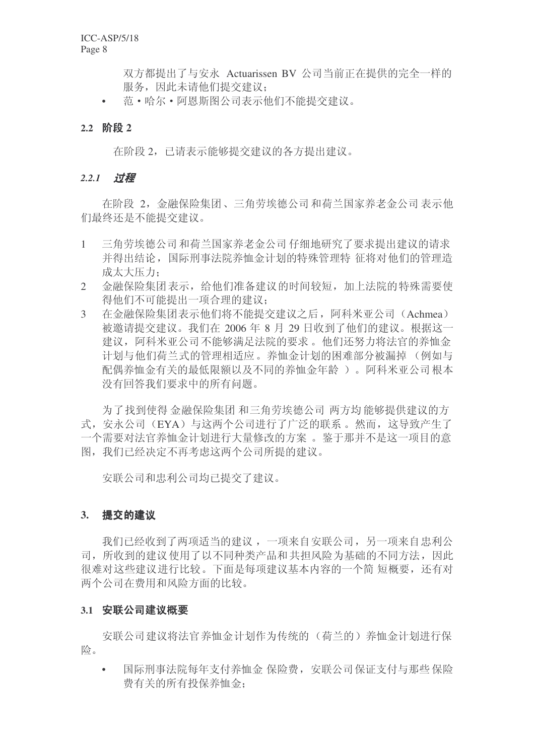双方都提出了与安永 Actuarissen BV 公司当前正在提供的完全一样的 服务, 因此未请他们提交建议:

• 范·哈尔·阿恩斯图公司表示他们不能提交建议。

#### **2.2** 䰊↉ **2**

在阶段 2, 已请表示能够提交建议的各方提出建议。

#### 2.2.1 过程

在阶段 2, 金融保险集团、三角劳埃德公司和荷兰国家养老金公司表示他 们最终还是不能提交建议。

- 1 三角劳埃德公司和荷兰国家养老金公司仔细地研究了要求提出建议的请求 并得出结论, 国际刑事法院养恤金计划的特殊管理特 征将对他们的管理造 成太大压力:
- 2 余融保险集团表示,给他们准备建议的时间较短,加上法院的特殊需要使 得他们不可能提出一项合理的建议:
- 3 在金融保险集团表示他们将不能提交建议之后,阿科米亚公司(Achmea) 被邀请提交建议。我们在 2006年8月 29 日收到了他们的建议。根据这一 建议, 阿科米亚公司不能够满足法院的要求。他们还努力将法官的养恤金 计划与他们荷兰式的管理相适应。养恤金计划的困难部分被漏掉 (例如与 配偶养恤金有关的最低限额以及不同的养恤金年龄)。 阿科米亚公司根本 没有回答我们要求中的所有问题。

为了找到使得 金融保险集团 和三角劳埃德公司 两方均 能够提供建议的方 式, 安永公司(EYA)与这两个公司进行了广泛的联系。然而, 这导致产生了 一个需要对法官养恤金计划进行大量修改的方案。 鉴于那并不是这一项目的意 图, 我们已经决定不再考虑这两个公司所提的建议。

安联公司和忠利公司均已提交了建议。

#### 3. 提交的建议

我们已经收到了两项适当的建议,一项来自安联公司,另一项来自忠利公 司, 所收到的建议 使用了以不同种类产品和共相风险为基础的不同方法, 因此 很难对这些建议进行比较。下面是每项建议基本内容的一个简 短概要, 还有对 两个公司在费用和风险方面的比较。

#### 3.1 安联公司建议概要

安联公司建议将法官养恤金计划作为传统的(荷兰的)养恤金计划进行保 险。

• 国际刑事法院每年支付养恤金 保险费, 安联公司保证支付与那些保险 费有关的所有投保养恤金;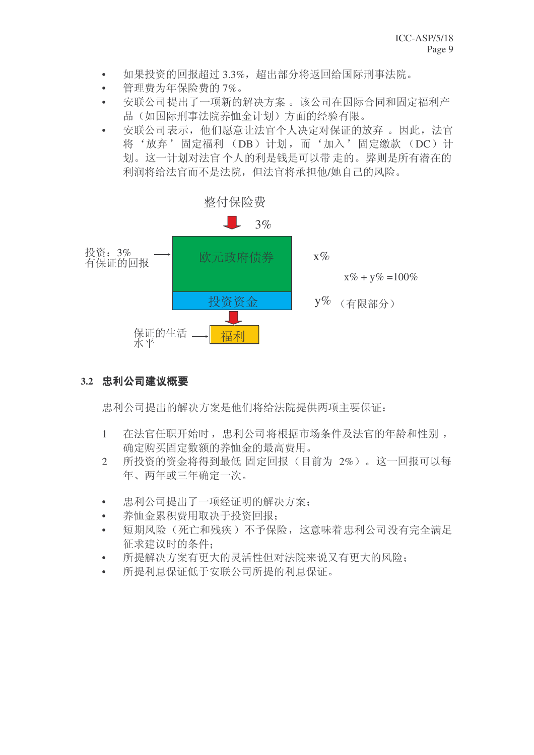- 如果投资的回报超过 3.3%, 超出部分将返回给国际刑事法院。
- 管理费为年保险费的 7%。
- 安联公司提出了一项新的解决方案。该公司在国际合同和固定福利产 品(如国际刑事法院养恤金计划)方面的经验有限。
- 安联公司表示, 他们愿意让法官个人决定对保证的放弃。因此, 法官 将'放弃'固定福利 (DB) 计划, 而'加入'固定缴款 (DC) 计 划。这一计划对法官个人的利是钱是可以带走的。弊则是所有潜在的 利润将给法官而不是法院,但法官将承担他/她自己的风险。



3.2 忠利公司建议概要

忠利公司提出的解决方案是他们将给法院提供两项主要保证:

- 1 在法官任职开始时, 忠利公司将根据市场条件及法官的年龄和性别, 确定购买固定数额的养恤金的最高费用。
- 2 所投资的资金将得到最低固定回报(目前为 2%)。这一回报可以每 年、两年或三年确定一次。
- 忠利公司提出了一项经证明的解决方案:
- 养恤金累积费用取决于投资回报:
- 短期风险(死亡和残疾)不予保险,这意味着忠利公司没有完全满足 征求建议时的条件:
- 所提解决方案有更大的灵活性但对法院来说又有更大的风险:
- 所提利息保证低于安联公司所提的利息保证。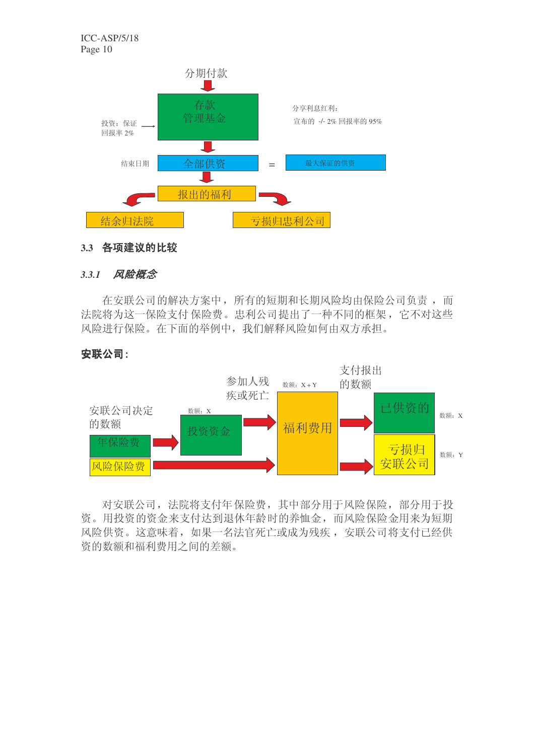

#### 3.3 各项建议的比较

#### 3.3.1 风险概念

在安联公司的解决方案中, 所有的短期和长期风险均由保险公司负责, 而 法院将为这一保险支付 保险费。忠利公司提出了一种不同的框架, 它不对这些 风险进行保险。在下面的举例中,我们解释风险如何由双方承担。

#### 安联公司:



对安联公司, 法院将支付年保险费, 其中部分用于风险保险, 部分用于投 资。用投资的资金来支付达到退休年龄时的养恤金,而风险保险金用来为短期 风险供资。这意味着,如果一名法官死亡或成为残疾,安联公司将支付已经供 资的数额和福利费用之间的差额。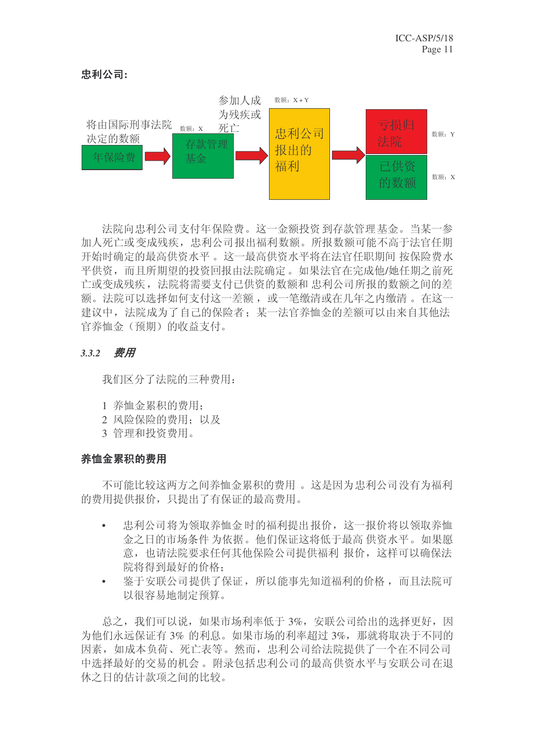



法院向忠利公司支付年保险费。这一金额投资到存款管理基金。当某一参 加人死亡或变成残疾, 忠利公司报出福利数额。所报数额可能不高于法官任期 开始时确定的最高供资水平。这一最高供资水平将在法官任职期间 按保险费水 平供资,而且所期望的投资回报由法院确定。如果法官在完成他/她任期之前死 亡或变成残疾, 法院将需要支付已供资的数额和 忠利公司 所报的数额之间的差 额。法院可以选择如何支付这一差额, 或一笔缴清或在几年之内缴清 。在这一 建议中, 法院成为了自己的保险者; 某一法官养恤金的差额可以由来自其他法 官养恤金(预期)的收益支付。

#### 3.3.2 费用

我们区分了法院的三种费用:

- 1 养恤金累积的费用:
- 2 风险保险的费用: 以及
- 3 管理和投资费用。

### 养恤金累积的费用

不可能比较这两方之间养恤金累积的费用。这是因为忠利公司没有为福利 的费用提供报价, 只提出了有保证的最高费用。

- 忠利公司将为领取养恤金时的福利提出报价, 这一报价将以领取养恤 金之日的市场条件为依据。他们保证这将低于最高供资水平。如果愿 意, 也请法院要求任何其他保险公司提供福利 报价, 这样可以确保法 院将得到最好的价格:
- · 鉴于安联公司提供了保证, 所以能事先知道福利的价格, 而且法院可 以很容易地制定预算。

总之,我们可以说,如果市场利率低于3%,安联公司给出的选择更好,因 为他们永远保证有3% 的利息。如果市场的利率超过3%, 那就将取决于不同的 因素, 如成本负荷、死亡表等。然而, 忠利公司给法院提供了一个在不同公司 中洗择最好的交易的机会。附录包括忠利公司的最高供资水平与安联公司在退 休之日的估计款项之间的比较。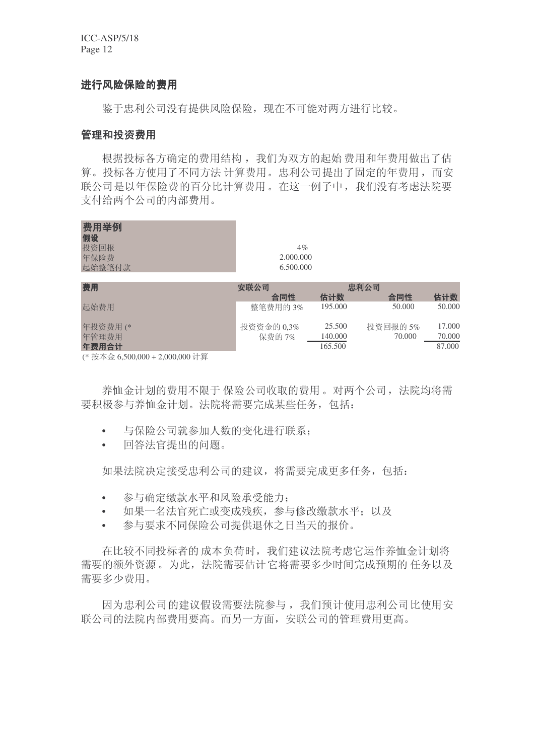ICC-ASP/5/18 Page 12

#### 进行风险保险的费用

鉴于忠利公司没有提供风险保险, 现在不可能对两方进行比较。

#### 管理和投资费用

根据投标各方确定的费用结构, 我们为双方的起始 费用和年费用做出了估 算。投标各方使用了不同方法 计算费用。忠利公司提出了固定的年费用, 而安 联公司是以年保险费的百分比计算费用。在这一例子中,我们没有考虑法院要 支付给两个公司的内部费用。

| 费用举例<br>假设<br>投资回报<br>年保险费<br>起始整笔付款                                                                                                                                                                                                                                                                                                                                | $4\%$<br>2.000.000<br>6.500.000 |         |          |        |
|---------------------------------------------------------------------------------------------------------------------------------------------------------------------------------------------------------------------------------------------------------------------------------------------------------------------------------------------------------------------|---------------------------------|---------|----------|--------|
| 费用                                                                                                                                                                                                                                                                                                                                                                  | 安联公司                            | 忠利公司    |          |        |
|                                                                                                                                                                                                                                                                                                                                                                     | 合同性                             | 估计数     | 合同性      | 估计数    |
| 起始费用                                                                                                                                                                                                                                                                                                                                                                | 整笔费用的3%                         | 195,000 | 50,000   | 50.000 |
| 年投资费用(*                                                                                                                                                                                                                                                                                                                                                             | 投资资金的 0,3%                      | 25.500  | 投资回报的 5% | 17.000 |
| 年管理费用                                                                                                                                                                                                                                                                                                                                                               | 保费的 7%                          | 140.000 | 70.000   | 70.000 |
| 年费用合计                                                                                                                                                                                                                                                                                                                                                               |                                 | 165.500 |          | 87.000 |
| $\lambda$ is the $\lambda$ is $\lambda$ is $\lambda$ and $\lambda$ and $\lambda$ and $\lambda$ and $\lambda$ is $\lambda$ is $\lambda$ is $\lambda$ is $\lambda$ is $\lambda$ is $\lambda$ is $\lambda$ is $\lambda$ is $\lambda$ is $\lambda$ is $\lambda$ is $\lambda$ is $\lambda$ is $\lambda$ is $\lambda$ is $\lambda$ is $\lambda$ is $\lambda$ is $\lambda$ |                                 |         |          |        |

(\*按本金 6,500,000 + 2,000,000 计算

养恤金计划的费用不限于 保险公司收取的费用。对两个公司, 法院均将需 要积极参与养恤金计划。法院将需要完成某些任务, 包括:

- 与保险公司就参加人数的变化进行联系:
- 回答法官提出的问题。

如果法院决定接受忠利公司的建议, 将需要完成更多任务, 包括:

- 参与确定缴款水平和风险承受能力:
- 如果一名法官死亡或变成残疾,参与修改缴款水平;以及
- 参与要求不同保险公司提供退休之日当天的报价。

在比较不同投标者的成本负荷时,我们建议法院考虑它运作养恤金计划将 需要的额外资源。为此, 法院需要估计它将需要多少时间完成预期的任务以及 需要多少费用。

因为忠利公司的建议假设需要法院参与, 我们预计使用忠利公司比使用安 联公司的法院内部费用要高。而另一方面, 安联公司的管理费用更高。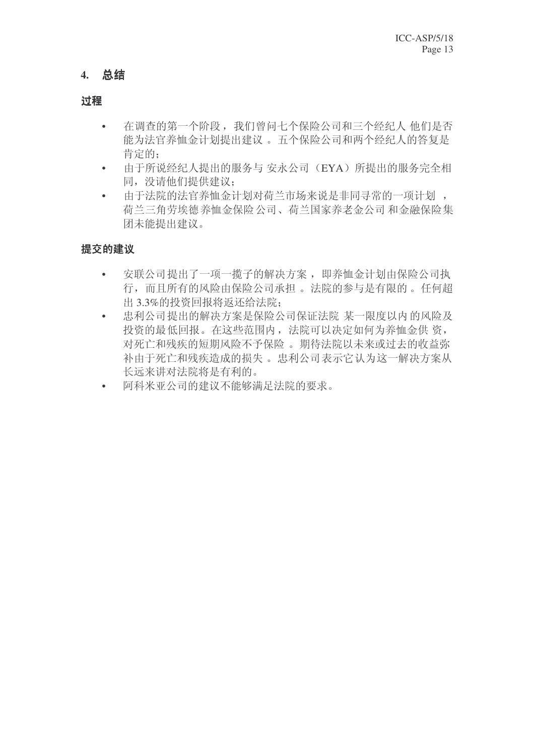# **4.** ᘏ㒧

#### 过程

- 在调查的第一个阶段,我们曾问七个保险公司和三个经纪人 他们是否 能为法官养恤金计划提出建议。五个保险公司和两个经纪人的答复是 肯定的:
- 由于所说经纪人提出的服务与 安永公司 (EYA) 所提出的服务完全相 同, 没请他们提供建议;
- 由于法院的法官养恤金计划对荷兰市场来说是非同寻常的一项计划, 荷兰三角劳埃德养恤金保险公司、荷兰国家养老金公司和金融保险集 团未能提出建议。

## 提交的建议

- 安联公司提出了一项一揽子的解决方案, 即养恤金计划由保险公司执 行,而且所有的风险由保险公司承担。 法院的参与是有限的。任何超 出3.3%的投资回报将返还给法院:
- 忠利公司提出的解决方案是保险公司保证法院 某一限度以内的风险及 投资的最低回报。在这些范围内, 法院可以决定如何为养恤金供 资, 对死亡和残疾的短期风险不予保险。期待法院以未来或过去的收益弥 补由于死亡和残疾造成的损失。 忠利公司表示它认为这一解决方案从 长远来讲对法院将是有利的。
- 阿科米亚公司的建议不能够满足法院的要求。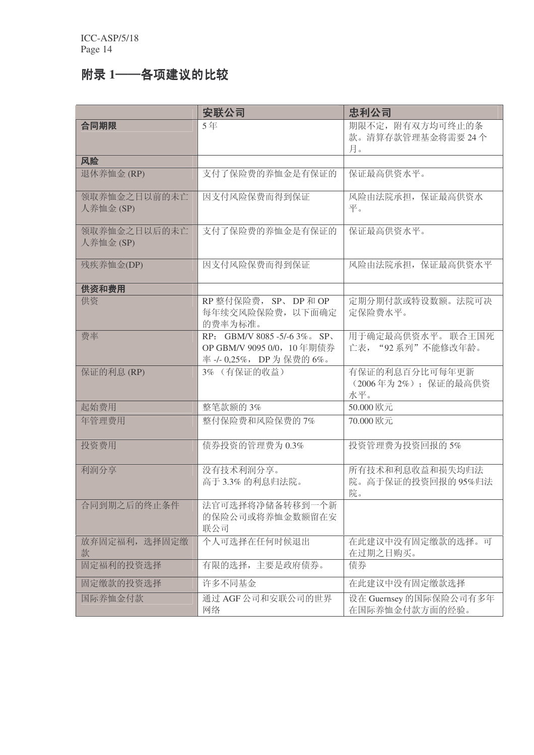# 附录 1——各项建议的比较

|                           | 安联公司                                                                            | 忠利公司                                        |
|---------------------------|---------------------------------------------------------------------------------|---------------------------------------------|
| 合同期限                      | 5年                                                                              | 期限不定, 附有双方均可终止的条<br>款。清算存款管理基金将需要24个<br>月。  |
| 风险                        |                                                                                 |                                             |
| 退休养恤金 (RP)                | 支付了保险费的养恤金是有保证的                                                                 | 保证最高供资水平。                                   |
| 领取养恤金之日以前的未亡<br>人养恤金 (SP) | 因支付风险保费而得到保证                                                                    | 风险由法院承担, 保证最高供资水<br>平。                      |
| 领取养恤金之日以后的未亡<br>人养恤金 (SP) | 支付了保险费的养恤金是有保证的                                                                 | 保证最高供资水平。                                   |
| 残疾养恤金(DP)                 | 因支付风险保费而得到保证                                                                    | 风险由法院承担, 保证最高供资水平                           |
| 供资和费用                     |                                                                                 |                                             |
| 供资                        | RP 整付保险费, SP、DP 和 OP<br>每年续交风险保险费, 以下面确定<br>的费率为标准。                             | 定期分期付款或特设数额。法院可决<br>定保险费水平。                 |
| 费率                        | RP: GBM/V 8085 -5/-6 3% SP<br>OP GBM/V 9095 0/0, 10年期债券<br>率-/-0,25%, DP为保费的6%。 | 用于确定最高供资水平。 联合王国死<br>亡表, "92 系列"不能修改年龄。     |
| 保证的利息(RP)                 | 3% (有保证的收益)                                                                     | 有保证的利息百分比可每年更新<br>(2006年为2%);保证的最高供资<br>水平。 |
| 起始费用                      | 整笔款额的 3%                                                                        | 50.000 欧元                                   |
| 年管理费用                     | 整付保险费和风险保费的7%                                                                   | 70.000 欧元                                   |
| 投资费用                      | 债券投资的管理费为0.3%                                                                   | 投资管理费为投资回报的5%                               |
| 利润分享                      | 没有技术利润分享。<br>高于 3.3% 的利息归法院。                                                    | 所有技术和利息收益和损失均归法<br>院。高于保证的投资回报的95%归法<br>院。  |
| 合同到期之后的终止条件               | 法官可选择将净储备转移到一个新<br>的保险公司或将养恤金数额留在安<br>联公司                                       |                                             |
| 放弃固定福利, 选择固定缴<br>款        | 个人可选择在任何时候退出                                                                    | 在此建议中没有固定缴款的选择。可<br>在过期之日购买。                |
| 固定福利的投资选择                 | 有限的选择,主要是政府债券。                                                                  | 债券                                          |
| 固定缴款的投资选择                 | 许多不同基金                                                                          | 在此建议中没有固定缴款选择                               |
| 国际养恤金付款                   | 通过 AGF 公司和安联公司的世界<br>网络                                                         | 设在 Guernsey 的国际保险公司有多年<br>在国际养恤金付款方面的经验。    |